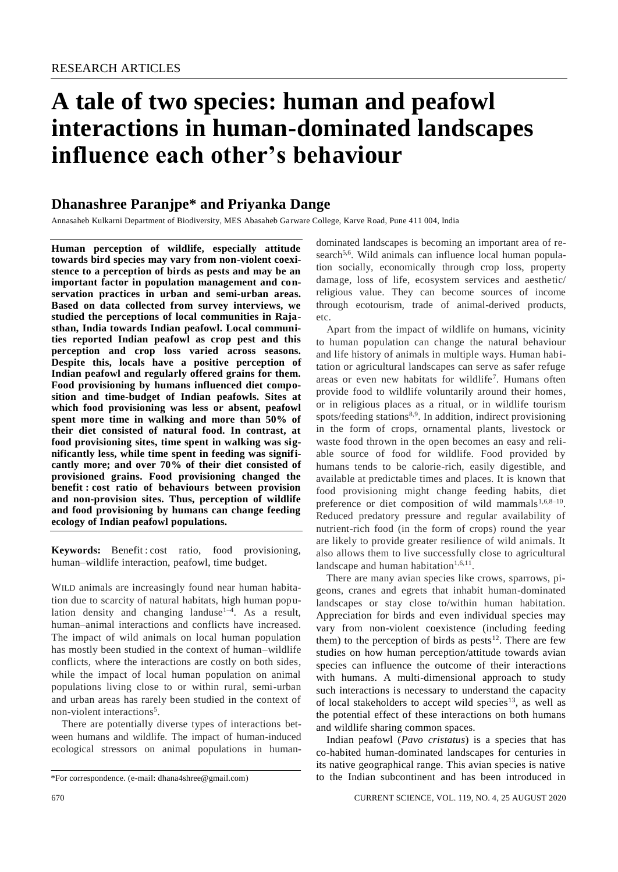# **A tale of two species: human and peafowl interactions in human-dominated landscapes influence each other's behaviour**

# **Dhanashree Paranjpe\* and Priyanka Dange**

Annasaheb Kulkarni Department of Biodiversity, MES Abasaheb Garware College, Karve Road, Pune 411 004, India

**Human perception of wildlife, especially attitude towards bird species may vary from non-violent coexistence to a perception of birds as pests and may be an important factor in population management and conservation practices in urban and semi-urban areas. Based on data collected from survey interviews, we studied the perceptions of local communities in Rajasthan, India towards Indian peafowl. Local communities reported Indian peafowl as crop pest and this perception and crop loss varied across seasons. Despite this, locals have a positive perception of Indian peafowl and regularly offered grains for them. Food provisioning by humans influenced diet composition and time-budget of Indian peafowls. Sites at which food provisioning was less or absent, peafowl spent more time in walking and more than 50% of their diet consisted of natural food. In contrast, at food provisioning sites, time spent in walking was significantly less, while time spent in feeding was significantly more; and over 70% of their diet consisted of provisioned grains. Food provisioning changed the benefit : cost ratio of behaviours between provision and non-provision sites. Thus, perception of wildlife and food provisioning by humans can change feeding ecology of Indian peafowl populations.**

**Keywords:** Benefit : cost ratio, food provisioning, human–wildlife interaction, peafowl, time budget.

WILD animals are increasingly found near human habitation due to scarcity of natural habitats, high human population density and changing landuse<sup>1-4</sup>. As a result, human–animal interactions and conflicts have increased. The impact of wild animals on local human population has mostly been studied in the context of human–wildlife conflicts, where the interactions are costly on both sides, while the impact of local human population on animal populations living close to or within rural, semi-urban and urban areas has rarely been studied in the context of non-violent interactions<sup>5</sup>.

There are potentially diverse types of interactions between humans and wildlife. The impact of human-induced ecological stressors on animal populations in human-

dominated landscapes is becoming an important area of research<sup>5,6</sup>. Wild animals can influence local human population socially, economically through crop loss, property damage, loss of life, ecosystem services and aesthetic/ religious value. They can become sources of income through ecotourism, trade of animal-derived products, etc.

Apart from the impact of wildlife on humans, vicinity to human population can change the natural behaviour and life history of animals in multiple ways. Human habitation or agricultural landscapes can serve as safer refuge areas or even new habitats for wildlife<sup>7</sup>. Humans often provide food to wildlife voluntarily around their homes, or in religious places as a ritual, or in wildlife tourism spots/feeding stations<sup>8,9</sup>. In addition, indirect provisioning in the form of crops, ornamental plants, livestock or waste food thrown in the open becomes an easy and reliable source of food for wildlife. Food provided by humans tends to be calorie-rich, easily digestible, and available at predictable times and places. It is known that food provisioning might change feeding habits, diet preference or diet composition of wild mammals $1,6,8-10$ . Reduced predatory pressure and regular availability of nutrient-rich food (in the form of crops) round the year are likely to provide greater resilience of wild animals. It also allows them to live successfully close to agricultural landscape and human habitation<sup>1,6,11</sup>.

There are many avian species like crows, sparrows, pigeons, cranes and egrets that inhabit human-dominated landscapes or stay close to/within human habitation. Appreciation for birds and even individual species may vary from non-violent coexistence (including feeding them) to the perception of birds as pests $^{12}$ . There are few studies on how human perception/attitude towards avian species can influence the outcome of their interactions with humans. A multi-dimensional approach to study such interactions is necessary to understand the capacity of local stakeholders to accept wild species<sup>13</sup>, as well as the potential effect of these interactions on both humans and wildlife sharing common spaces.

Indian peafowl (*Pavo cristatus*) is a species that has co-habited human-dominated landscapes for centuries in its native geographical range. This avian species is native to the Indian subcontinent and has been introduced in

<sup>\*</sup>For correspondence. (e-mail: dhana4shree@gmail.com)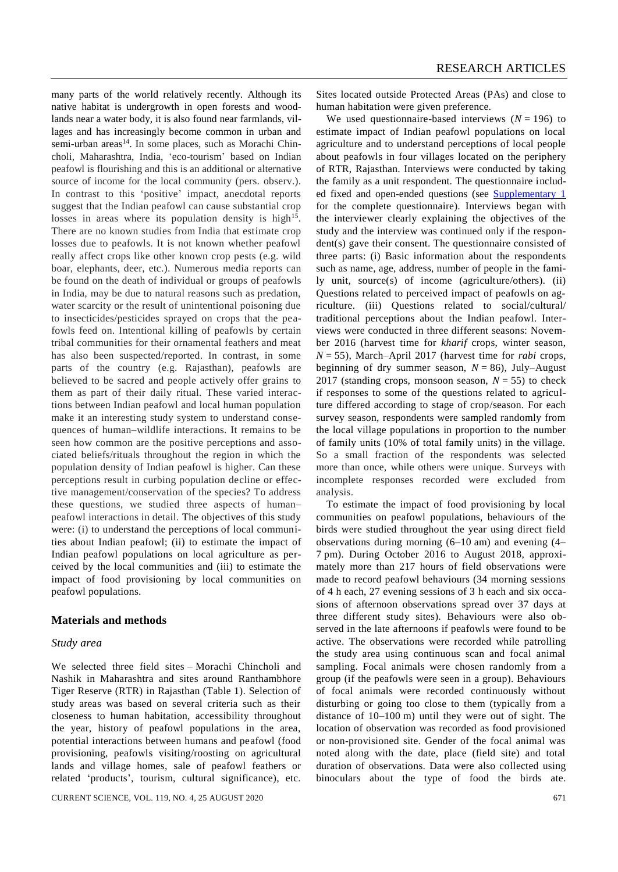many parts of the world relatively recently. Although its native habitat is undergrowth in open forests and woodlands near a water body, it is also found near farmlands, villages and has increasingly become common in urban and semi-urban areas<sup>14</sup>. In some places, such as Morachi Chincholi, Maharashtra, India, 'eco-tourism' based on Indian peafowl is flourishing and this is an additional or alternative source of income for the local community (pers. observ.). In contrast to this 'positive' impact, anecdotal reports suggest that the Indian peafowl can cause substantial crop losses in areas where its population density is high $15$ . There are no known studies from India that estimate crop losses due to peafowls. It is not known whether peafowl really affect crops like other known crop pests (e.g. wild boar, elephants, deer, etc.). Numerous media reports can be found on the death of individual or groups of peafowls in India, may be due to natural reasons such as predation, water scarcity or the result of unintentional poisoning due to insecticides/pesticides sprayed on crops that the peafowls feed on. Intentional killing of peafowls by certain tribal communities for their ornamental feathers and meat has also been suspected/reported. In contrast, in some parts of the country (e.g. Rajasthan), peafowls are believed to be sacred and people actively offer grains to them as part of their daily ritual. These varied interactions between Indian peafowl and local human population make it an interesting study system to understand consequences of human–wildlife interactions. It remains to be seen how common are the positive perceptions and associated beliefs/rituals throughout the region in which the population density of Indian peafowl is higher. Can these perceptions result in curbing population decline or effective management/conservation of the species? To address these questions, we studied three aspects of human– peafowl interactions in detail. The objectives of this study were: (i) to understand the perceptions of local communities about Indian peafowl; (ii) to estimate the impact of Indian peafowl populations on local agriculture as perceived by the local communities and (iii) to estimate the impact of food provisioning by local communities on peafowl populations.

#### **Materials and methods**

#### *Study area*

We selected three field sites – Morachi Chincholi and Nashik in Maharashtra and sites around Ranthambhore Tiger Reserve (RTR) in Rajasthan (Table 1). Selection of study areas was based on several criteria such as their closeness to human habitation, accessibility throughout the year, history of peafowl populations in the area, potential interactions between humans and peafowl (food provisioning, peafowls visiting/roosting on agricultural lands and village homes, sale of peafowl feathers or related 'products', tourism, cultural significance), etc.

CURRENT SCIENCE, VOL. 119, NO. 4, 25 AUGUST 2020 671

Sites located outside Protected Areas (PAs) and close to human habitation were given preference.

We used questionnaire-based interviews  $(N = 196)$  to estimate impact of Indian peafowl populations on local agriculture and to understand perceptions of local people about peafowls in four villages located on the periphery of RTR, Rajasthan. Interviews were conducted by taking the family as a unit respondent. The questionnaire included fixed and open-ended questions (see [Supplementary](https://www.currentscience.ac.in/Volumes/119/04/0670-suppl.pdf) 1 for the complete questionnaire). Interviews began with the interviewer clearly explaining the objectives of the study and the interview was continued only if the respondent(s) gave their consent. The questionnaire consisted of three parts: (i) Basic information about the respondents such as name, age, address, number of people in the family unit, source(s) of income (agriculture/others). (ii) Questions related to perceived impact of peafowls on agriculture. (iii) Questions related to social/cultural/ traditional perceptions about the Indian peafowl. Interviews were conducted in three different seasons: November 2016 (harvest time for *kharif* crops, winter season, *N* = 55), March–April 2017 (harvest time for *rabi* crops, beginning of dry summer season,  $N = 86$ ), July–August 2017 (standing crops, monsoon season,  $N = 55$ ) to check if responses to some of the questions related to agriculture differed according to stage of crop/season. For each survey season, respondents were sampled randomly from the local village populations in proportion to the number of family units (10% of total family units) in the village. So a small fraction of the respondents was selected more than once, while others were unique. Surveys with incomplete responses recorded were excluded from analysis.

To estimate the impact of food provisioning by local communities on peafowl populations, behaviours of the birds were studied throughout the year using direct field observations during morning (6–10 am) and evening (4– 7 pm). During October 2016 to August 2018, approximately more than 217 hours of field observations were made to record peafowl behaviours (34 morning sessions of 4 h each, 27 evening sessions of 3 h each and six occasions of afternoon observations spread over 37 days at three different study sites). Behaviours were also observed in the late afternoons if peafowls were found to be active. The observations were recorded while patrolling the study area using continuous scan and focal animal sampling. Focal animals were chosen randomly from a group (if the peafowls were seen in a group). Behaviours of focal animals were recorded continuously without disturbing or going too close to them (typically from a distance of 10–100 m) until they were out of sight. The location of observation was recorded as food provisioned or non-provisioned site. Gender of the focal animal was noted along with the date, place (field site) and total duration of observations. Data were also collected using binoculars about the type of food the birds ate.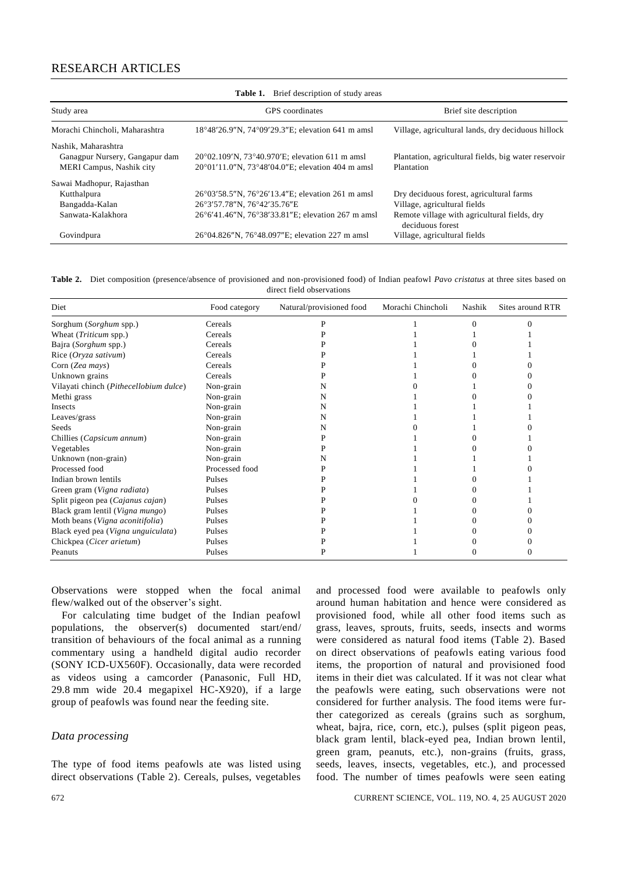# RESEARCH ARTICLES

| <b>Table 1.</b> Brief description of study areas |                                                   |                                                                  |  |  |
|--------------------------------------------------|---------------------------------------------------|------------------------------------------------------------------|--|--|
| Study area                                       | GPS coordinates                                   | Brief site description                                           |  |  |
| Morachi Chincholi, Maharashtra                   | 18°48′26.9″N, 74°09′29.3″E; elevation 641 m amsl  | Village, agricultural lands, dry deciduous hillock               |  |  |
| Nashik, Maharashtra                              |                                                   |                                                                  |  |  |
| Ganagpur Nursery, Gangapur dam                   | 20°02.109′N, 73°40.970′E; elevation 611 m amsl    | Plantation, agricultural fields, big water reservoir             |  |  |
| MERI Campus, Nashik city                         | 20°01'11.0"N, 73°48'04.0"E; elevation 404 m amsl  | Plantation                                                       |  |  |
| Sawai Madhopur, Rajasthan                        |                                                   |                                                                  |  |  |
| Kutthalpura                                      | 26°03′58.5″N, 76°26′13.4″E; elevation 261 m amsl  | Dry deciduous forest, agricultural farms                         |  |  |
| Bangadda-Kalan                                   | 26°3'57.78"N, 76°42'35.76"E                       | Village, agricultural fields                                     |  |  |
| Sanwata-Kalakhora                                | 26°6'41.46"N, 76°38'33.81"E; elevation 267 m amsl | Remote village with agricultural fields, dry<br>deciduous forest |  |  |
| Govindpura                                       | 26°04.826"N, 76°48.097"E; elevation 227 m amsl    | Village, agricultural fields                                     |  |  |

**Table 2.** Diet composition (presence/absence of provisioned and non-provisioned food) of Indian peafowl *Pavo cristatus* at three sites based on direct field observations

| Diet                                   | Food category  | Natural/provisioned food | Morachi Chincholi | Nashik | Sites around RTR |
|----------------------------------------|----------------|--------------------------|-------------------|--------|------------------|
| Sorghum (Sorghum spp.)                 | Cereals        |                          |                   |        |                  |
| Wheat (Triticum spp.)                  | Cereals        |                          |                   |        |                  |
| Bajra (Sorghum spp.)                   | Cereals        |                          |                   |        |                  |
| Rice (Oryza sativum)                   | Cereals        |                          |                   |        |                  |
| Corn (Zea mays)                        | Cereals        |                          |                   |        |                  |
| Unknown grains                         | Cereals        |                          |                   |        |                  |
| Vilayati chinch (Pithecellobium dulce) | Non-grain      |                          |                   |        |                  |
| Methi grass                            | Non-grain      |                          |                   |        |                  |
| Insects                                | Non-grain      | N                        |                   |        |                  |
| Leaves/grass                           | Non-grain      |                          |                   |        |                  |
| Seeds                                  | Non-grain      |                          |                   |        |                  |
| Chillies (Capsicum annum)              | Non-grain      |                          |                   |        |                  |
| Vegetables                             | Non-grain      |                          |                   |        |                  |
| Unknown (non-grain)                    | Non-grain      |                          |                   |        |                  |
| Processed food                         | Processed food |                          |                   |        |                  |
| Indian brown lentils                   | Pulses         |                          |                   |        |                  |
| Green gram (Vigna radiata)             | Pulses         |                          |                   |        |                  |
| Split pigeon pea (Cajanus cajan)       | Pulses         |                          |                   |        |                  |
| Black gram lentil (Vigna mungo)        | Pulses         |                          |                   |        |                  |
| Moth beans (Vigna aconitifolia)        | Pulses         |                          |                   |        |                  |
| Black eyed pea (Vigna unguiculata)     | Pulses         |                          |                   |        |                  |
| Chickpea (Cicer arietum)               | Pulses         |                          |                   |        |                  |
| Peanuts                                | Pulses         |                          |                   |        |                  |

Observations were stopped when the focal animal flew/walked out of the observer's sight.

For calculating time budget of the Indian peafowl populations, the observer(s) documented start/end/ transition of behaviours of the focal animal as a running commentary using a handheld digital audio recorder (SONY ICD-UX560F). Occasionally, data were recorded as videos using a camcorder (Panasonic, Full HD, 29.8 mm wide 20.4 megapixel HC-X920), if a large group of peafowls was found near the feeding site.

#### *Data processing*

The type of food items peafowls ate was listed using direct observations (Table 2). Cereals, pulses, vegetables

and processed food were available to peafowls only around human habitation and hence were considered as provisioned food, while all other food items such as grass, leaves, sprouts, fruits, seeds, insects and worms were considered as natural food items (Table 2). Based on direct observations of peafowls eating various food items, the proportion of natural and provisioned food items in their diet was calculated. If it was not clear what the peafowls were eating, such observations were not considered for further analysis. The food items were further categorized as cereals (grains such as sorghum, wheat, bajra, rice, corn, etc.), pulses (split pigeon peas, black gram lentil, black-eyed pea, Indian brown lentil, green gram, peanuts, etc.), non-grains (fruits, grass, seeds, leaves, insects, vegetables, etc.), and processed food. The number of times peafowls were seen eating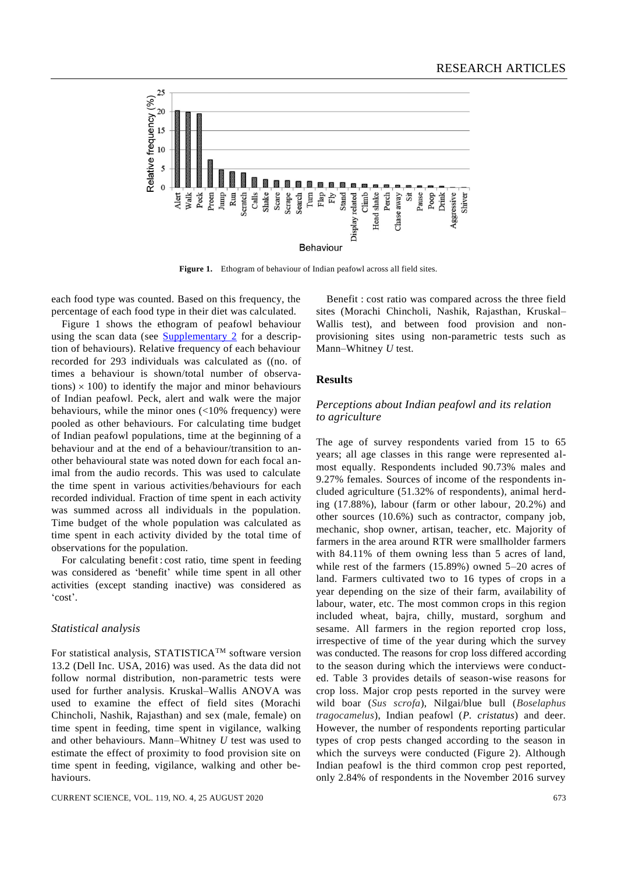

**Figure 1.** Ethogram of behaviour of Indian peafowl across all field sites.

each food type was counted. Based on this frequency, the percentage of each food type in their diet was calculated.

Figure 1 shows the ethogram of peafowl behaviour using the scan data (see [Supplementary](https://www.currentscience.ac.in/Volumes/119/04/0670-suppl.pdf) 2 for a description of behaviours). Relative frequency of each behaviour recorded for 293 individuals was calculated as ((no. of times a behaviour is shown/total number of observations)  $\times$  100) to identify the major and minor behaviours of Indian peafowl. Peck, alert and walk were the major behaviours, while the minor ones (<10% frequency) were pooled as other behaviours. For calculating time budget of Indian peafowl populations, time at the beginning of a behaviour and at the end of a behaviour/transition to another behavioural state was noted down for each focal animal from the audio records. This was used to calculate the time spent in various activities/behaviours for each recorded individual. Fraction of time spent in each activity was summed across all individuals in the population. Time budget of the whole population was calculated as time spent in each activity divided by the total time of observations for the population.

For calculating benefit : cost ratio, time spent in feeding was considered as 'benefit' while time spent in all other activities (except standing inactive) was considered as 'cost'.

#### *Statistical analysis*

For statistical analysis, STATISTICATM software version 13.2 (Dell Inc. USA, 2016) was used. As the data did not follow normal distribution, non-parametric tests were used for further analysis. Kruskal–Wallis ANOVA was used to examine the effect of field sites (Morachi Chincholi, Nashik, Rajasthan) and sex (male, female) on time spent in feeding, time spent in vigilance, walking and other behaviours. Mann–Whitney *U* test was used to estimate the effect of proximity to food provision site on time spent in feeding, vigilance, walking and other behaviours.

CURRENT SCIENCE, VOL. 119, NO. 4, 25 AUGUST 2020 673

Benefit : cost ratio was compared across the three field sites (Morachi Chincholi, Nashik, Rajasthan, Kruskal– Wallis test), and between food provision and nonprovisioning sites using non-parametric tests such as Mann–Whitney *U* test.

#### **Results**

# *Perceptions about Indian peafowl and its relation to agriculture*

The age of survey respondents varied from 15 to 65 years; all age classes in this range were represented almost equally. Respondents included 90.73% males and 9.27% females. Sources of income of the respondents included agriculture (51.32% of respondents), animal herding (17.88%), labour (farm or other labour, 20.2%) and other sources (10.6%) such as contractor, company job, mechanic, shop owner, artisan, teacher, etc. Majority of farmers in the area around RTR were smallholder farmers with 84.11% of them owning less than 5 acres of land, while rest of the farmers (15.89%) owned 5–20 acres of land. Farmers cultivated two to 16 types of crops in a year depending on the size of their farm, availability of labour, water, etc. The most common crops in this region included wheat, bajra, chilly, mustard, sorghum and sesame. All farmers in the region reported crop loss, irrespective of time of the year during which the survey was conducted. The reasons for crop loss differed according to the season during which the interviews were conducted. Table 3 provides details of season-wise reasons for crop loss. Major crop pests reported in the survey were wild boar (*Sus scrofa*), Nilgai/blue bull (*Boselaphus tragocamelus*), Indian peafowl (*P. cristatus*) and deer. However, the number of respondents reporting particular types of crop pests changed according to the season in which the surveys were conducted (Figure 2). Although Indian peafowl is the third common crop pest reported, only 2.84% of respondents in the November 2016 survey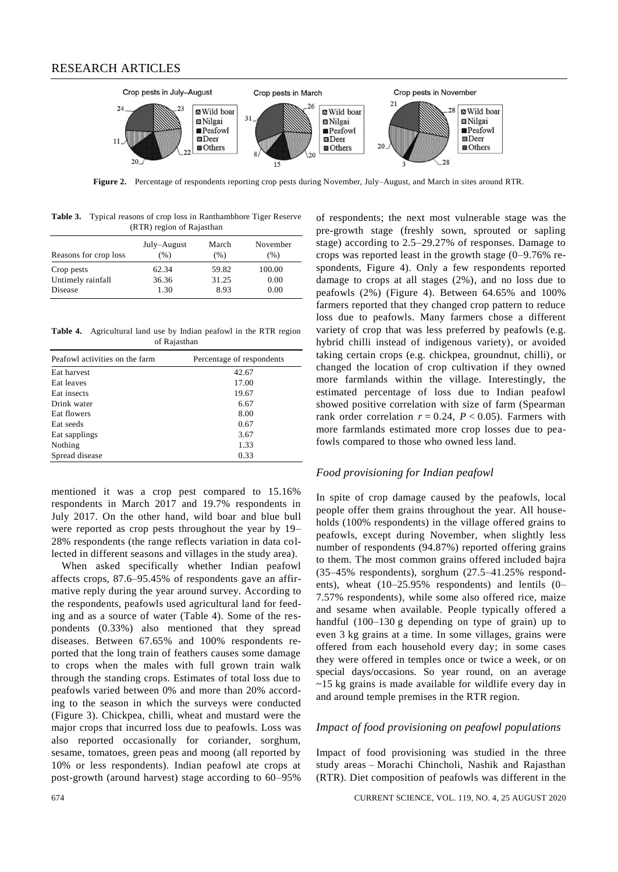

**Figure 2.** Percentage of respondents reporting crop pests during November, July–August, and March in sites around RTR.

|                           | <b>Table 3.</b> Typical reasons of crop loss in Ranthambhore Tiger Reserve |  |  |  |  |  |
|---------------------------|----------------------------------------------------------------------------|--|--|--|--|--|
| (RTR) region of Rajasthan |                                                                            |  |  |  |  |  |

| Reasons for crop loss | July–August<br>$(\% )$ | March<br>(% ) | November<br>$(\% )$ |
|-----------------------|------------------------|---------------|---------------------|
| Crop pests            | 62.34                  | 59.82         | 100.00              |
| Untimely rainfall     | 36.36                  | 31.25         | 0.00                |
| Disease               | 1.30                   | 8.93          | 0.00                |

**Table 4.** Agricultural land use by Indian peafowl in the RTR region of Rajasthan

| Peafowl activities on the farm | Percentage of respondents |
|--------------------------------|---------------------------|
| Eat harvest                    | 42.67                     |
| Eat leaves                     | 17.00                     |
| Eat insects                    | 19.67                     |
| Drink water                    | 6.67                      |
| Eat flowers                    | 8.00                      |
| Eat seeds                      | 0.67                      |
| Eat sapplings                  | 3.67                      |
| Nothing                        | 1.33                      |
| Spread disease                 | 0.33                      |

mentioned it was a crop pest compared to 15.16% respondents in March 2017 and 19.7% respondents in July 2017. On the other hand, wild boar and blue bull were reported as crop pests throughout the year by 19– 28% respondents (the range reflects variation in data collected in different seasons and villages in the study area).

When asked specifically whether Indian peafowl affects crops, 87.6–95.45% of respondents gave an affirmative reply during the year around survey. According to the respondents, peafowls used agricultural land for feeding and as a source of water (Table 4). Some of the respondents (0.33%) also mentioned that they spread diseases. Between 67.65% and 100% respondents reported that the long train of feathers causes some damage to crops when the males with full grown train walk through the standing crops. Estimates of total loss due to peafowls varied between 0% and more than 20% according to the season in which the surveys were conducted (Figure 3). Chickpea, chilli, wheat and mustard were the major crops that incurred loss due to peafowls. Loss was also reported occasionally for coriander, sorghum, sesame, tomatoes, green peas and moong (all reported by 10% or less respondents). Indian peafowl ate crops at post-growth (around harvest) stage according to 60–95%

of respondents; the next most vulnerable stage was the pre-growth stage (freshly sown, sprouted or sapling stage) according to 2.5–29.27% of responses. Damage to crops was reported least in the growth stage (0–9.76% respondents, Figure 4). Only a few respondents reported damage to crops at all stages (2%), and no loss due to peafowls (2%) (Figure 4). Between 64.65% and 100% farmers reported that they changed crop pattern to reduce loss due to peafowls. Many farmers chose a different variety of crop that was less preferred by peafowls (e.g. hybrid chilli instead of indigenous variety), or avoided taking certain crops (e.g. chickpea, groundnut, chilli), or changed the location of crop cultivation if they owned more farmlands within the village. Interestingly, the estimated percentage of loss due to Indian peafowl showed positive correlation with size of farm (Spearman rank order correlation  $r = 0.24$ ,  $P < 0.05$ ). Farmers with more farmlands estimated more crop losses due to peafowls compared to those who owned less land.

#### *Food provisioning for Indian peafowl*

In spite of crop damage caused by the peafowls, local people offer them grains throughout the year. All households (100% respondents) in the village offered grains to peafowls, except during November, when slightly less number of respondents (94.87%) reported offering grains to them. The most common grains offered included bajra (35–45% respondents), sorghum (27.5–41.25% respondents), wheat (10–25.95% respondents) and lentils (0– 7.57% respondents), while some also offered rice, maize and sesame when available. People typically offered a handful (100–130 g depending on type of grain) up to even 3 kg grains at a time. In some villages, grains were offered from each household every day; in some cases they were offered in temples once or twice a week, or on special days/occasions. So year round, on an average ~15 kg grains is made available for wildlife every day in and around temple premises in the RTR region.

#### *Impact of food provisioning on peafowl populations*

Impact of food provisioning was studied in the three study areas – Morachi Chincholi, Nashik and Rajasthan (RTR). Diet composition of peafowls was different in the

674 CURRENT SCIENCE, VOL. 119, NO. 4, 25 AUGUST 2020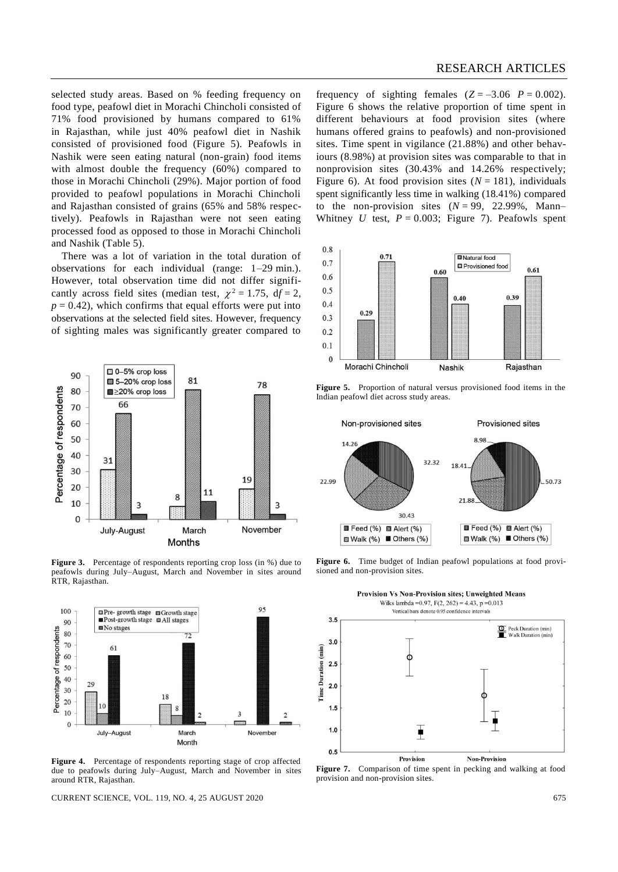selected study areas. Based on % feeding frequency on food type, peafowl diet in Morachi Chincholi consisted of 71% food provisioned by humans compared to 61% in Rajasthan, while just 40% peafowl diet in Nashik consisted of provisioned food (Figure 5). Peafowls in Nashik were seen eating natural (non-grain) food items with almost double the frequency (60%) compared to those in Morachi Chincholi (29%). Major portion of food provided to peafowl populations in Morachi Chincholi and Rajasthan consisted of grains (65% and 58% respectively). Peafowls in Rajasthan were not seen eating processed food as opposed to those in Morachi Chincholi and Nashik (Table 5).

There was a lot of variation in the total duration of observations for each individual (range: 1–29 min.). However, total observation time did not differ significantly across field sites (median test,  $\chi^2 = 1.75$ ,  $df = 2$ ,  $p = 0.42$ , which confirms that equal efforts were put into observations at the selected field sites. However, frequency of sighting males was significantly greater compared to



Figure 3. Percentage of respondents reporting crop loss (in %) due to peafowls during July–August, March and November in sites around RTR, Rajasthan.



**Figure 4.** Percentage of respondents reporting stage of crop affected due to peafowls during July–August, March and November in sites around RTR, Rajasthan.

CURRENT SCIENCE, VOL. 119, NO. 4, 25 AUGUST 2020 675

frequency of sighting females  $(Z = -3.06 \text{ } P = 0.002)$ . Figure 6 shows the relative proportion of time spent in different behaviours at food provision sites (where humans offered grains to peafowls) and non-provisioned sites. Time spent in vigilance (21.88%) and other behaviours (8.98%) at provision sites was comparable to that in nonprovision sites (30.43% and 14.26% respectively; Figure 6). At food provision sites  $(N = 181)$ , individuals spent significantly less time in walking (18.41%) compared to the non-provision sites  $(N = 99, 22.99\%$ , Mann– Whitney *U* test,  $P = 0.003$ ; Figure 7). Peafowls spent



**Figure 5.** Proportion of natural versus provisioned food items in the Indian peafowl diet across study areas.



Figure 6. Time budget of Indian peafowl populations at food provisioned and non-provision sites.



**Figure 7.** Comparison of time spent in pecking and walking at food provision and non-provision sites.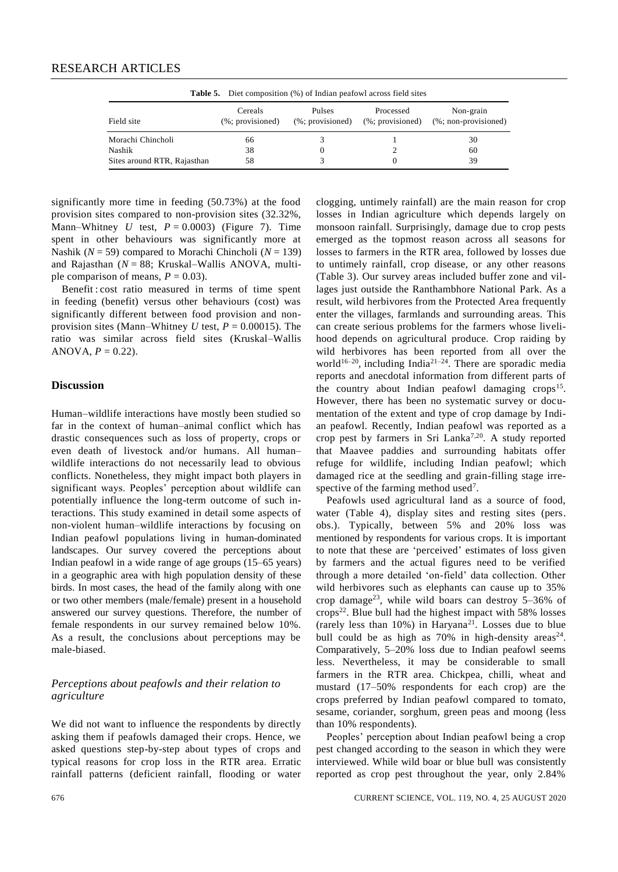| <b>Table 5.</b> Diet composition (%) of Indian peafowl across field sites |                                |                                   |                               |                                                               |
|---------------------------------------------------------------------------|--------------------------------|-----------------------------------|-------------------------------|---------------------------------------------------------------|
| Field site                                                                | Cereals<br>$(\%;$ provisioned) | <b>Pulses</b><br>(%; provisioned) | Processed<br>(%; provisioned) | Non-grain<br>$(% \mathcal{L}_{0}^{\infty} )$ non-provisioned) |
| Morachi Chincholi                                                         | 66                             |                                   |                               | 30                                                            |
| Nashik                                                                    | 38                             |                                   |                               | 60                                                            |
| Sites around RTR, Rajasthan                                               | 58                             |                                   |                               | 39                                                            |

significantly more time in feeding (50.73%) at the food provision sites compared to non-provision sites (32.32%, Mann–Whitney *U* test,  $P = 0.0003$ ) (Figure 7). Time spent in other behaviours was significantly more at Nashik (*N* = 59) compared to Morachi Chincholi (*N* = 139) and Rajasthan (*N* = 88; Kruskal–Wallis ANOVA, multiple comparison of means,  $P = 0.03$ .

Benefit : cost ratio measured in terms of time spent in feeding (benefit) versus other behaviours (cost) was significantly different between food provision and nonprovision sites (Mann–Whitney *U* test,  $P = 0.00015$ ). The ratio was similar across field sites (Kruskal–Wallis ANOVA,  $P = 0.22$ ).

## **Discussion**

Human–wildlife interactions have mostly been studied so far in the context of human–animal conflict which has drastic consequences such as loss of property, crops or even death of livestock and/or humans. All human– wildlife interactions do not necessarily lead to obvious conflicts. Nonetheless, they might impact both players in significant ways. Peoples' perception about wildlife can potentially influence the long-term outcome of such interactions. This study examined in detail some aspects of non-violent human–wildlife interactions by focusing on Indian peafowl populations living in human-dominated landscapes. Our survey covered the perceptions about Indian peafowl in a wide range of age groups (15–65 years) in a geographic area with high population density of these birds. In most cases, the head of the family along with one or two other members (male/female) present in a household answered our survey questions. Therefore, the number of female respondents in our survey remained below 10%. As a result, the conclusions about perceptions may be male-biased.

## *Perceptions about peafowls and their relation to agriculture*

We did not want to influence the respondents by directly asking them if peafowls damaged their crops. Hence, we asked questions step-by-step about types of crops and typical reasons for crop loss in the RTR area. Erratic rainfall patterns (deficient rainfall, flooding or water clogging, untimely rainfall) are the main reason for crop losses in Indian agriculture which depends largely on monsoon rainfall. Surprisingly, damage due to crop pests emerged as the topmost reason across all seasons for losses to farmers in the RTR area, followed by losses due to untimely rainfall, crop disease, or any other reasons (Table 3). Our survey areas included buffer zone and villages just outside the Ranthambhore National Park. As a result, wild herbivores from the Protected Area frequently enter the villages, farmlands and surrounding areas. This can create serious problems for the farmers whose livelihood depends on agricultural produce. Crop raiding by wild herbivores has been reported from all over the world<sup>16-20</sup>, including India<sup>21-24</sup>. There are sporadic media reports and anecdotal information from different parts of the country about Indian peafowl damaging crops<sup>15</sup>. However, there has been no systematic survey or documentation of the extent and type of crop damage by Indian peafowl. Recently, Indian peafowl was reported as a crop pest by farmers in Sri Lanka<sup>7,20</sup>. A study reported that Maavee paddies and surrounding habitats offer refuge for wildlife, including Indian peafowl; which damaged rice at the seedling and grain-filling stage irrespective of the farming method used<sup>7</sup>.

Peafowls used agricultural land as a source of food, water (Table 4), display sites and resting sites (pers. obs.). Typically, between 5% and 20% loss was mentioned by respondents for various crops. It is important to note that these are 'perceived' estimates of loss given by farmers and the actual figures need to be verified through a more detailed 'on-field' data collection. Other wild herbivores such as elephants can cause up to 35% crop damage<sup>23</sup>, while wild boars can destroy  $5-36\%$  of  $\text{crops}^{22}$ . Blue bull had the highest impact with 58% losses (rarely less than  $10\%$ ) in Haryana<sup>21</sup>. Losses due to blue bull could be as high as  $70\%$  in high-density areas<sup>24</sup>. Comparatively, 5–20% loss due to Indian peafowl seems less. Nevertheless, it may be considerable to small farmers in the RTR area. Chickpea, chilli, wheat and mustard (17–50% respondents for each crop) are the crops preferred by Indian peafowl compared to tomato, sesame, coriander, sorghum, green peas and moong (less than 10% respondents).

Peoples' perception about Indian peafowl being a crop pest changed according to the season in which they were interviewed. While wild boar or blue bull was consistently reported as crop pest throughout the year, only 2.84%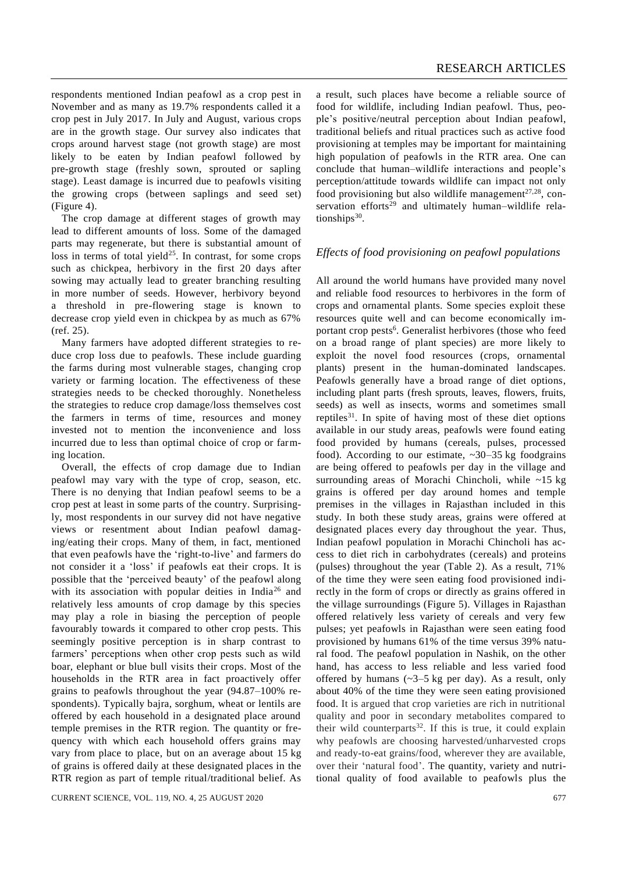respondents mentioned Indian peafowl as a crop pest in November and as many as 19.7% respondents called it a crop pest in July 2017. In July and August, various crops are in the growth stage. Our survey also indicates that crops around harvest stage (not growth stage) are most likely to be eaten by Indian peafowl followed by pre-growth stage (freshly sown, sprouted or sapling stage). Least damage is incurred due to peafowls visiting the growing crops (between saplings and seed set) (Figure 4).

The crop damage at different stages of growth may lead to different amounts of loss. Some of the damaged parts may regenerate, but there is substantial amount of loss in terms of total yield<sup>25</sup>. In contrast, for some crops such as chickpea, herbivory in the first 20 days after sowing may actually lead to greater branching resulting in more number of seeds. However, herbivory beyond a threshold in pre-flowering stage is known to decrease crop yield even in chickpea by as much as 67% (ref. 25).

Many farmers have adopted different strategies to reduce crop loss due to peafowls. These include guarding the farms during most vulnerable stages, changing crop variety or farming location. The effectiveness of these strategies needs to be checked thoroughly. Nonetheless the strategies to reduce crop damage/loss themselves cost the farmers in terms of time, resources and money invested not to mention the inconvenience and loss incurred due to less than optimal choice of crop or farming location.

Overall, the effects of crop damage due to Indian peafowl may vary with the type of crop, season, etc. There is no denying that Indian peafowl seems to be a crop pest at least in some parts of the country. Surprisingly, most respondents in our survey did not have negative views or resentment about Indian peafowl damaging/eating their crops. Many of them, in fact, mentioned that even peafowls have the 'right-to-live' and farmers do not consider it a 'loss' if peafowls eat their crops. It is possible that the 'perceived beauty' of the peafowl along with its association with popular deities in India<sup>26</sup> and relatively less amounts of crop damage by this species may play a role in biasing the perception of people favourably towards it compared to other crop pests. This seemingly positive perception is in sharp contrast to farmers' perceptions when other crop pests such as wild boar, elephant or blue bull visits their crops. Most of the households in the RTR area in fact proactively offer grains to peafowls throughout the year (94.87–100% respondents). Typically bajra, sorghum, wheat or lentils are offered by each household in a designated place around temple premises in the RTR region. The quantity or frequency with which each household offers grains may vary from place to place, but on an average about 15 kg of grains is offered daily at these designated places in the RTR region as part of temple ritual/traditional belief. As

CURRENT SCIENCE, VOL. 119, NO. 4, 25 AUGUST 2020 677

a result, such places have become a reliable source of food for wildlife, including Indian peafowl. Thus, people's positive/neutral perception about Indian peafowl, traditional beliefs and ritual practices such as active food provisioning at temples may be important for maintaining high population of peafowls in the RTR area. One can conclude that human–wildlife interactions and people's perception/attitude towards wildlife can impact not only food provisioning but also wildlife management $27,28$ , conservation efforts $29$  and ultimately human–wildlife relationships<sup>30</sup>.

#### *Effects of food provisioning on peafowl populations*

All around the world humans have provided many novel and reliable food resources to herbivores in the form of crops and ornamental plants. Some species exploit these resources quite well and can become economically important crop pests<sup>6</sup>. Generalist herbivores (those who feed on a broad range of plant species) are more likely to exploit the novel food resources (crops, ornamental plants) present in the human-dominated landscapes. Peafowls generally have a broad range of diet options, including plant parts (fresh sprouts, leaves, flowers, fruits, seeds) as well as insects, worms and sometimes small reptiles<sup>31</sup>. In spite of having most of these diet options available in our study areas, peafowls were found eating food provided by humans (cereals, pulses, processed food). According to our estimate,  $\sim 30-35$  kg foodgrains are being offered to peafowls per day in the village and surrounding areas of Morachi Chincholi, while ~15 kg grains is offered per day around homes and temple premises in the villages in Rajasthan included in this study. In both these study areas, grains were offered at designated places every day throughout the year. Thus, Indian peafowl population in Morachi Chincholi has access to diet rich in carbohydrates (cereals) and proteins (pulses) throughout the year (Table 2). As a result, 71% of the time they were seen eating food provisioned indirectly in the form of crops or directly as grains offered in the village surroundings (Figure 5). Villages in Rajasthan offered relatively less variety of cereals and very few pulses; yet peafowls in Rajasthan were seen eating food provisioned by humans 61% of the time versus 39% natural food. The peafowl population in Nashik, on the other hand, has access to less reliable and less varied food offered by humans  $(\sim 3-5 \text{ kg per day})$ . As a result, only about 40% of the time they were seen eating provisioned food. It is argued that crop varieties are rich in nutritional quality and poor in secondary metabolites compared to their wild counterparts $32$ . If this is true, it could explain why peafowls are choosing harvested/unharvested crops and ready-to-eat grains/food, wherever they are available, over their 'natural food'. The quantity, variety and nutritional quality of food available to peafowls plus the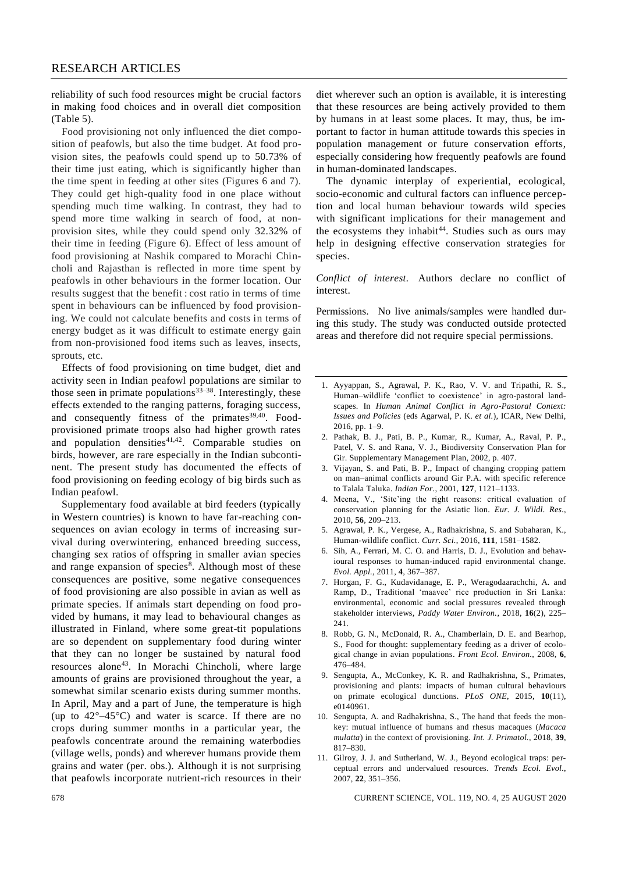reliability of such food resources might be crucial factors in making food choices and in overall diet composition (Table 5).

Food provisioning not only influenced the diet composition of peafowls, but also the time budget. At food provision sites, the peafowls could spend up to 50.73% of their time just eating, which is significantly higher than the time spent in feeding at other sites (Figures 6 and 7). They could get high-quality food in one place without spending much time walking. In contrast, they had to spend more time walking in search of food, at nonprovision sites, while they could spend only 32.32% of their time in feeding (Figure 6). Effect of less amount of food provisioning at Nashik compared to Morachi Chincholi and Rajasthan is reflected in more time spent by peafowls in other behaviours in the former location. Our results suggest that the benefit : cost ratio in terms of time spent in behaviours can be influenced by food provisioning. We could not calculate benefits and costs in terms of energy budget as it was difficult to estimate energy gain from non-provisioned food items such as leaves, insects, sprouts, etc.

Effects of food provisioning on time budget, diet and activity seen in Indian peafowl populations are similar to those seen in primate populations<sup>33–38</sup>. Interestingly, these effects extended to the ranging patterns, foraging success, and consequently fitness of the primates<sup>39,40</sup>. Foodprovisioned primate troops also had higher growth rates and population densities $41,42$ . Comparable studies on birds, however, are rare especially in the Indian subcontinent. The present study has documented the effects of food provisioning on feeding ecology of big birds such as Indian peafowl.

Supplementary food available at bird feeders (typically in Western countries) is known to have far-reaching consequences on avian ecology in terms of increasing survival during overwintering, enhanced breeding success, changing sex ratios of offspring in smaller avian species and range expansion of species<sup>8</sup>. Although most of these consequences are positive, some negative consequences of food provisioning are also possible in avian as well as primate species. If animals start depending on food provided by humans, it may lead to behavioural changes as illustrated in Finland, where some great-tit populations are so dependent on supplementary food during winter that they can no longer be sustained by natural food resources alone<sup>43</sup>. In Morachi Chincholi, where large amounts of grains are provisioned throughout the year, a somewhat similar scenario exists during summer months. In April, May and a part of June, the temperature is high (up to  $42^{\circ} - 45^{\circ}$ C) and water is scarce. If there are no crops during summer months in a particular year, the peafowls concentrate around the remaining waterbodies (village wells, ponds) and wherever humans provide them grains and water (per. obs.). Although it is not surprising that peafowls incorporate nutrient-rich resources in their

diet wherever such an option is available, it is interesting that these resources are being actively provided to them by humans in at least some places. It may, thus, be important to factor in human attitude towards this species in population management or future conservation efforts, especially considering how frequently peafowls are found in human-dominated landscapes.

The dynamic interplay of experiential, ecological, socio-economic and cultural factors can influence perception and local human behaviour towards wild species with significant implications for their management and the ecosystems they inhabit<sup>44</sup>. Studies such as ours may help in designing effective conservation strategies for species.

*Conflict of interest.* Authors declare no conflict of interest.

Permissions. No live animals/samples were handled during this study. The study was conducted outside protected areas and therefore did not require special permissions.

- 1. Ayyappan, S., Agrawal, P. K., Rao, V. V. and Tripathi, R. S., Human–wildlife 'conflict to coexistence' in agro-pastoral landscapes. In *Human Animal Conflict in Agro-Pastoral Context: Issues and Policies* (eds Agarwal, P. K. *et al.*), ICAR, New Delhi, 2016, pp. 1–9.
- 2. Pathak, B. J., Pati, B. P., Kumar, R., Kumar, A., Raval, P. P., Patel, V. S. and Rana, V. J., Biodiversity Conservation Plan for Gir. Supplementary Management Plan, 2002, p. 407.
- 3. Vijayan, S. and Pati, B. P., Impact of changing cropping pattern on man–animal conflicts around Gir P.A. with specific reference to Talala Taluka. *Indian For.*, 2001, **127**, 1121–1133.
- 4. Meena, V., 'Site'ing the right reasons: critical evaluation of conservation planning for the Asiatic lion. *Eur. J. Wildl. Res.*, 2010, **56**, 209–213.
- 5. Agrawal, P. K., Vergese, A., Radhakrishna, S. and Subaharan, K., Human-wildlife conflict. *Curr. Sci.*, 2016, **111**, 1581–1582.
- 6. Sih, A., Ferrari, M. C. O. and Harris, D. J., Evolution and behavioural responses to human-induced rapid environmental change. *Evol. Appl.*, 2011, **4**, 367–387.
- 7. Horgan, F. G., Kudavidanage, E. P., Weragodaarachchi, A. and Ramp, D., Traditional 'maavee' rice production in Sri Lanka: environmental, economic and social pressures revealed through stakeholder interviews, *Paddy Water Environ.*, 2018, **16**(2), 225– 241.
- 8. Robb, G. N., McDonald, R. A., Chamberlain, D. E. and Bearhop, S., Food for thought: supplementary feeding as a driver of ecological change in avian populations. *Front Ecol. Environ.*, 2008, **6**, 476–484.
- 9. Sengupta, A., McConkey, K. R. and Radhakrishna, S., Primates, provisioning and plants: impacts of human cultural behaviours on primate ecological dunctions. *PLoS ONE*, 2015, **10**(11), e0140961.
- 10. Sengupta, A. and Radhakrishna, S., The hand that feeds the monkey: mutual influence of humans and rhesus macaques (*Macaca mulatta*) in the context of provisioning. *Int. J. Primatol.*, 2018, **39**, 817–830.
- 11. Gilroy, J. J. and Sutherland, W. J., Beyond ecological traps: perceptual errors and undervalued resources. *Trends Ecol. Evol.*, 2007, **22**, 351–356.

678 CURRENT SCIENCE, VOL. 119, NO. 4, 25 AUGUST 2020